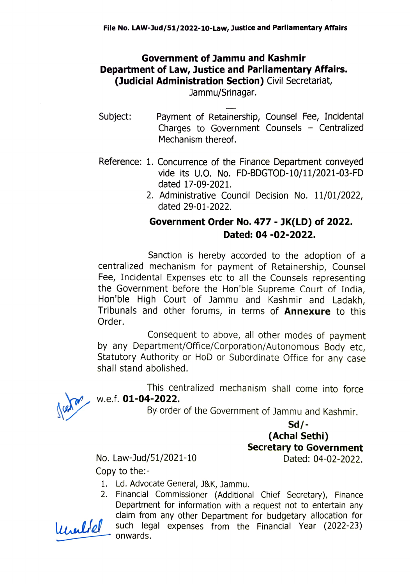### Government of Jammu and Kashmir Department of Law, Justice and Parliamentary Affairs. (Judicial Administration Section) Civil Secretariat,

Jammu/Srinagar.

- Subject: Payment of Retainership, Counsel Fee, Incidental Charges to Government Counsels  $-$  Centralized Mechanism thereof.
- Reference: 1. Concurrence of the Finance Department conveyed vide its U.O. No. FD-BDGTOD-10/11/2021-03-FD dated 17-09-2021.
	- 2. Administrative Council Decision No. 11/01/2022, dated 29-01-2022.

## Government Order No. 477 - JK(LD) of 2022. Dated: 04-02-2022.

Sanction is hereby accorded to the adoption of a centralized mechanism for payment of Retainership, Counsel Fee, Incidental Expenses etc to all the Counsels representing the Government before the Hon'ble Supreme Court of India, Hon'ble High Court of Jammu and Kashmir and Ladakh, Tribunals and other forums, in terms of **Annexure** to this Order.

Consequent to above, all other modes of payment by any Department/office/Corporation/Autonomous Body etc, Statutory Authority or HoD or Subordinate Office for any case shall stand abolished.



This centralized mechanism shall come into force w.e.f. 01-04-2022.

By order of the Government of Jammu and Kashmir.

### Sd/- (Achal Sethi) Secretary to Government

No. Law-Jud/51/2021-10 Dated: 04-02-2022. Copy to the:

1. Ld. Advocate General, J&K, Jammu.

2. Financial Commissioner (Additional Chief Secretary), Finance Department for information with a request not to entertain any claim from any other Department for budgetary allocation for  $\mu$ ullel such legal expenses from the Financial Year (2022-23) onwards.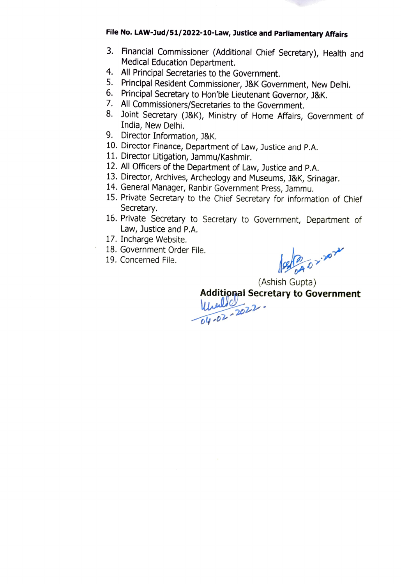#### File No. LAW-Jud/51/2022-10-Law, Justice and Parliamentary Affairs

- 3. Financial Commissioner (Additional Chief Secretary), Health and Medical Education Department.
- 4. All Principal Secretaries to the Government.
- 5. Principal Resident Commissioner, J&K Government, New Delhi.
- 6. Principal Secretary to Hon'ble Lieutenant Governor, J&K.
- 7. All Commissioners/Secretaries to the Government.
- 8. Joint Secretary (J&K), Ministry of Home Affairs, Government of India, New Delhi.
- 9. Director Information, J&K.
- 10. Director Finance, Department of Law, Justice and P.A.
- 11. Director Litigation, Jammu/Kashmir.
- 12. All Officers of the Department of Law, Justice and P.A.
- 13. Director, Archives, Archeology and Museums, J8K, Srinagar. 14. General Manager, Ranbir Government Press, Jammu.
- 
- 15. Private Secretary to the Chief Secretary for information of Chief Secretary.
- 16. Private Secretary to Secretary to Government, Department of Law, Justice and P.A.
- 17. Incharge Website.
- 18. Government Order File.
- 19. Concerned File.

B 02.2024

(Ashish Gupta)<br>**Additipnal Secretary to Government** 

 $u_0$  2022